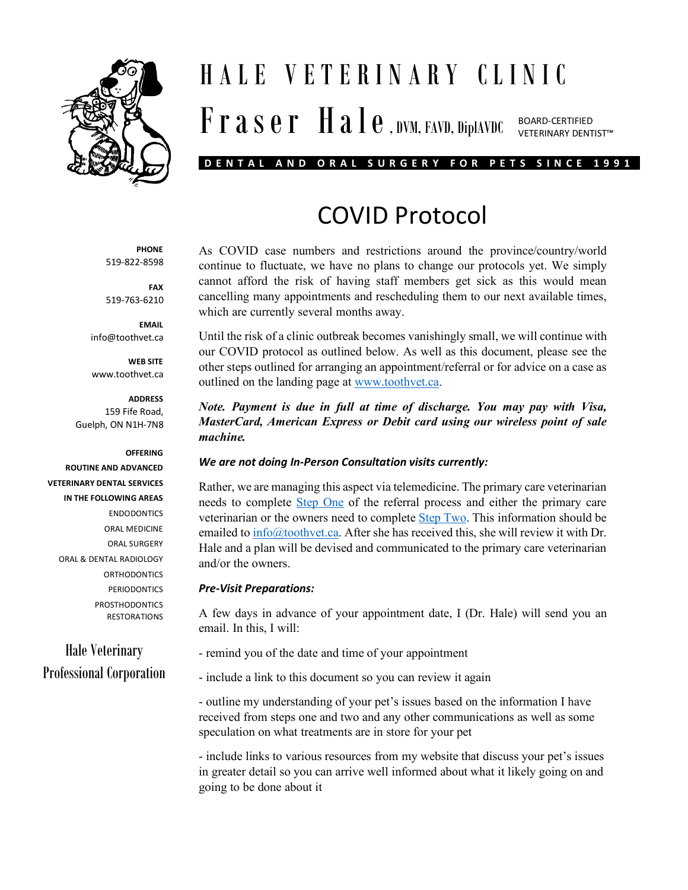

## HALE VETERINARY CLINIC  $\mathbf{F}$   $\mathbf{r}$  a  $\mathbf{s}$   $\mathbf{e}$   $\mathbf{r}$   $\mathbf{H}$  a  $\mathbf{l}$   $\mathbf{e}$  , dvm, favd, diplavdc BOARD-CERTIFIED VETERINARY DENTIST™

### **DENTAL AND ORAL SURGERY FOR PETS SINCE 1991**

# COVID Protocol

As COVID case numbers and restrictions around the province/country/world continue to fluctuate, we have no plans to change our protocols yet. We simply cannot afford the risk of having staff members get sick as this would mean cancelling many appointments and rescheduling them to our next available times, which are currently several months away.

Until the risk of a clinic outbreak becomes vanishingly small, we will continue with our COVID protocol as outlined below. As well as this document, please see the other steps outlined for arranging an appointment/referral or for advice on a case as outlined on the landing page at [www.toothvet.ca.](http://www.toothvet.ca/)

*Note. Payment is due in full at time of discharge. You may pay with Visa, MasterCard, American Express or Debit card using our wireless point of sale machine.*

#### *We are not doing In-Person Consultation visits currently:*

Rather, we are managing this aspect via telemedicine. The primary care veterinarian needs to complete [Step One](http://www.toothvet.ca/PDFfiles/how_to_refer.pdf) of the referral process and either the primary care veterinarian or the owners need to complet[e Step Two.](http://www.toothvet.ca/PDFfiles/images_4_telemedicine.pdf) This information should be emailed to  $info@toothvet.ca.$  After she has received this, she will review it with Dr. Hale and a plan will be devised and communicated to the primary care veterinarian and/or the owners.

#### *Pre-Visit Preparations:*

A few days in advance of your appointment date, I (Dr. Hale) will send you an email. In this, I will:

- remind you of the date and time of your appointment
- include a link to this document so you can review it again

- outline my understanding of your pet's issues based on the information I have received from steps one and two and any other communications as well as some speculation on what treatments are in store for your pet

- include links to various resources from my website that discuss your pet's issues in greater detail so you can arrive well informed about what it likely going on and going to be done about it

**PHONE** 519-822-8598

**FAX** 519-763-6210

**EMAIL** info@toothvet.ca

**WEB SITE** www.toothvet.ca

#### **ADDRESS**

159 Fife Road, Guelph, ON N1H-7N8

#### **OFFERING**

**ROUTINE AND ADVANCED VETERINARY DENTAL SERVICES IN THE FOLLOWING AREAS** ENDODONTICS ORAL MEDICINE ORAL SURGERY ORAL & DENTAL RADIOLOGY **ORTHODONTICS PERIODONTICS PROSTHODONTICS** RESTORATIONS

Hale Veterinary Professional Corporation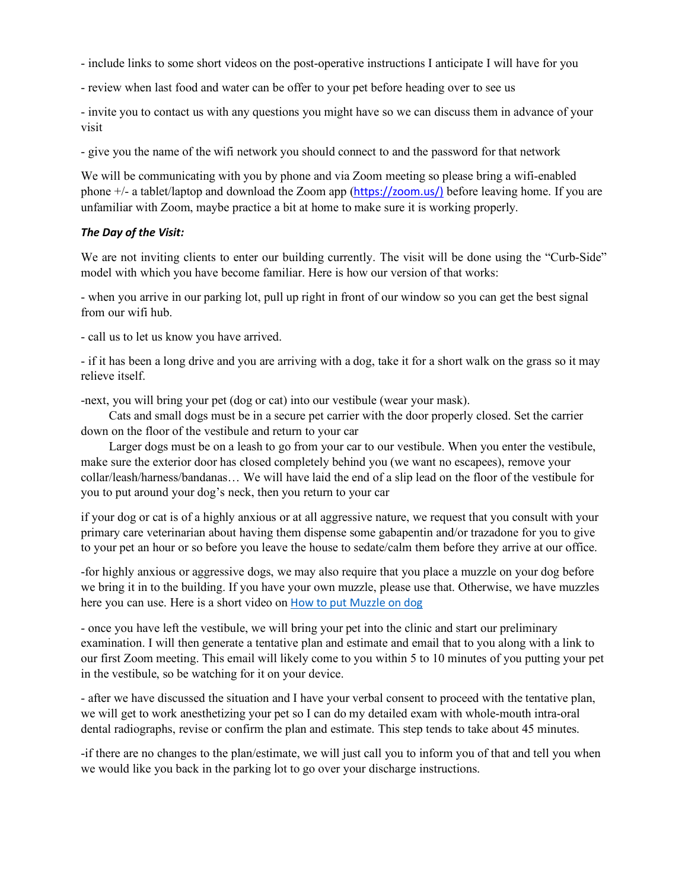- include links to some short videos on the post-operative instructions I anticipate I will have for you

- review when last food and water can be offer to your pet before heading over to see us

- invite you to contact us with any questions you might have so we can discuss them in advance of your visit

- give you the name of the wifi network you should connect to and the password for that network

We will be communicating with you by phone and via Zoom meeting so please bring a wifi-enabled phone +/- a tablet/laptop and download the Zoom app ([https://zoom.us/\)](https://zoom.us/) before leaving home. If you are unfamiliar with Zoom, maybe practice a bit at home to make sure it is working properly.

#### *The Day of the Visit:*

We are not inviting clients to enter our building currently. The visit will be done using the "Curb-Side" model with which you have become familiar. Here is how our version of that works:

- when you arrive in our parking lot, pull up right in front of our window so you can get the best signal from our wifi hub.

- call us to let us know you have arrived.

- if it has been a long drive and you are arriving with a dog, take it for a short walk on the grass so it may relieve itself.

-next, you will bring your pet (dog or cat) into our vestibule (wear your mask).

 Cats and small dogs must be in a secure pet carrier with the door properly closed. Set the carrier down on the floor of the vestibule and return to your car

 Larger dogs must be on a leash to go from your car to our vestibule. When you enter the vestibule, make sure the exterior door has closed completely behind you (we want no escapees), remove your collar/leash/harness/bandanas… We will have laid the end of a slip lead on the floor of the vestibule for you to put around your dog's neck, then you return to your car

if your dog or cat is of a highly anxious or at all aggressive nature, we request that you consult with your primary care veterinarian about having them dispense some gabapentin and/or trazadone for you to give to your pet an hour or so before you leave the house to sedate/calm them before they arrive at our office.

-for highly anxious or aggressive dogs, we may also require that you place a muzzle on your dog before we bring it in to the building. If you have your own muzzle, please use that. Otherwise, we have muzzles here you can use. Here is a short video on [How to put Muzzle on dog](https://www.bing.com/videos/search?q=how+to+put+on+a+muzzle+dog&docid=608006071219063061&mid=A11C63B06A11F6AE3A42A11C63B06A11F6AE3A42&view=detail&FORM=VIRE)

- once you have left the vestibule, we will bring your pet into the clinic and start our preliminary examination. I will then generate a tentative plan and estimate and email that to you along with a link to our first Zoom meeting. This email will likely come to you within 5 to 10 minutes of you putting your pet in the vestibule, so be watching for it on your device.

- after we have discussed the situation and I have your verbal consent to proceed with the tentative plan, we will get to work anesthetizing your pet so I can do my detailed exam with whole-mouth intra-oral dental radiographs, revise or confirm the plan and estimate. This step tends to take about 45 minutes.

-if there are no changes to the plan/estimate, we will just call you to inform you of that and tell you when we would like you back in the parking lot to go over your discharge instructions.